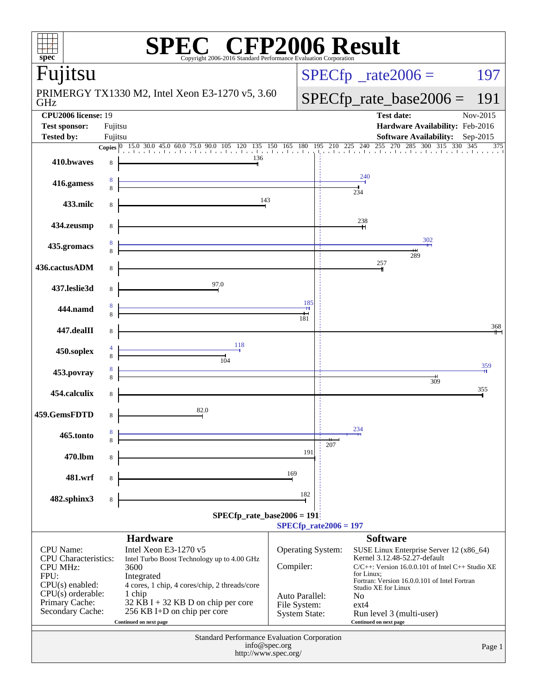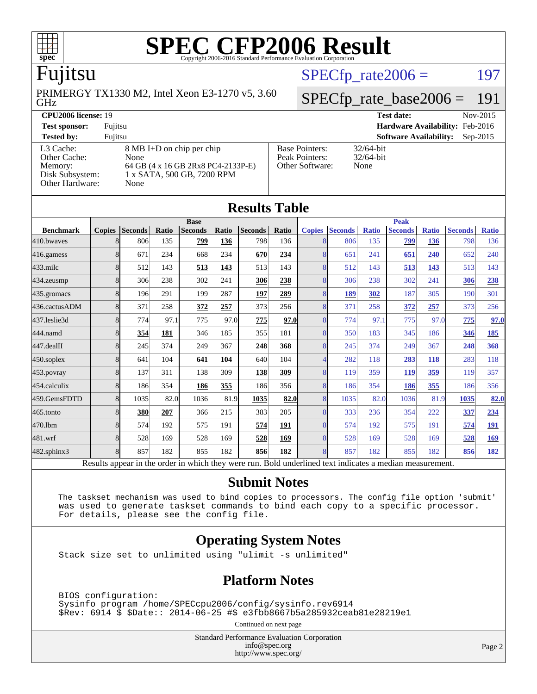

# Fujitsu

GHz PRIMERGY TX1330 M2, Intel Xeon E3-1270 v5, 3.60  $SPECTp_rate2006 = 197$ 

### [SPECfp\\_rate\\_base2006 =](http://www.spec.org/auto/cpu2006/Docs/result-fields.html#SPECfpratebase2006) 191

| <b>CPU2006 license: 19</b>                    |                                                                          |                                         | <b>Test date:</b>               | Nov-2015   |
|-----------------------------------------------|--------------------------------------------------------------------------|-----------------------------------------|---------------------------------|------------|
| <b>Test sponsor:</b>                          | Fujitsu                                                                  |                                         | Hardware Availability: Feb-2016 |            |
| <b>Tested by:</b>                             | Fuiitsu                                                                  |                                         | <b>Software Availability:</b>   | $Sep-2015$ |
| L3 Cache:<br>Other Cache:                     | 8 MB I+D on chip per chip<br>None                                        | <b>Base Pointers:</b><br>Peak Pointers: | $32/64$ -bit<br>$32/64$ -bit    |            |
| Memory:<br>Disk Subsystem:<br>Other Hardware: | 64 GB (4 x 16 GB 2Rx8 PC4-2133P-E)<br>1 x SATA, 500 GB, 7200 RPM<br>None | Other Software:                         | None                            |            |

**[Results Table](http://www.spec.org/auto/cpu2006/Docs/result-fields.html#ResultsTable)**

|                  |                |                |       |                                                                                                          |       | Results Table  |       |                          |                |              |                |              |                |              |
|------------------|----------------|----------------|-------|----------------------------------------------------------------------------------------------------------|-------|----------------|-------|--------------------------|----------------|--------------|----------------|--------------|----------------|--------------|
|                  |                |                |       | <b>Base</b>                                                                                              |       |                |       |                          |                |              | <b>Peak</b>    |              |                |              |
| <b>Benchmark</b> | <b>Copies</b>  | <b>Seconds</b> | Ratio | <b>Seconds</b>                                                                                           | Ratio | <b>Seconds</b> | Ratio | <b>Copies</b>            | <b>Seconds</b> | <b>Ratio</b> | <b>Seconds</b> | <b>Ratio</b> | <b>Seconds</b> | <b>Ratio</b> |
| 410.bwaves       | 8              | 806            | 135   | 799                                                                                                      | 136   | 798            | 136   | 8                        | 806            | 135          | 799            | 136          | 798            | 136          |
| 416.gamess       | 8              | 671            | 234   | 668                                                                                                      | 234   | 670            | 234   | 8                        | 651            | 241          | 651            | 240          | 652            | 240          |
| $433$ .milc      | 8              | 512            | 143   | 513                                                                                                      | 143   | 513            | 143   | 8                        | 512            | 143          | 513            | 143          | 513            | 143          |
| 434.zeusmp       | 8              | 306            | 238   | 302                                                                                                      | 241   | 306            | 238   | 8                        | 306            | 238          | 302            | 241          | 306            | 238          |
| 435.gromacs      | 8              | 196            | 291   | 199                                                                                                      | 287   | 197            | 289   | 8                        | <u>189</u>     | 302          | 187            | 305          | 190            | 301          |
| 436.cactusADM    | 8              | 371            | 258   | 372                                                                                                      | 257   | 373            | 256   | 8                        | 371            | 258          | 372            | 257          | 373            | 256          |
| 437.leslie3d     | $\overline{8}$ | 774            | 97.1  | 775                                                                                                      | 97.0  | 775            | 97.0  | 8                        | 774            | 97.1         | 775            | 97.0         | 775            | 97.0         |
| 444.namd         | 8              | 354            | 181   | 346                                                                                                      | 185   | 355            | 181   | 8                        | 350            | 183          | 345            | 186          | 346            | <u>185</u>   |
| 447.dealII       | 8              | 245            | 374   | 249                                                                                                      | 367   | 248            | 368   | 8                        | 245            | 374          | 249            | 367          | 248            | 368          |
| 450.soplex       | $\overline{8}$ | 641            | 104   | 641                                                                                                      | 104   | 640            | 104   | $\overline{\mathcal{A}}$ | 282            | 118          | 283            | 118          | 283            | 118          |
| 453.povray       | 8              | 137            | 311   | 138                                                                                                      | 309   | 138            | 309   | $\overline{8}$           | 119            | 359          | 119            | 359          | 119            | 357          |
| 454.calculix     | 8              | 186            | 354   | 186                                                                                                      | 355   | 186            | 356   | 8                        | 186            | 354          | 186            | 355          | 186            | 356          |
| 459.GemsFDTD     | 8              | 1035           | 82.0  | 1036                                                                                                     | 81.9  | 1035           | 82.0  | 8                        | 1035           | 82.0         | 1036           | 81.9         | 1035           | 82.0         |
| 465.tonto        | 8              | 380            | 207   | 366                                                                                                      | 215   | 383            | 205   | 8                        | 333            | 236          | 354            | 222          | 337            | 234          |
| 470.1bm          | 8              | 574            | 192   | 575                                                                                                      | 191   | 574            | 191   | 8                        | 574            | 192          | 575            | 191          | 574            | 191          |
| 481.wrf          | $\overline{8}$ | 528            | 169   | 528                                                                                                      | 169   | 528            | 169   | 8                        | 528            | 169          | 528            | 169          | 528            | 169          |
| 482.sphinx3      | $\overline{8}$ | 857            | 182   | 855                                                                                                      | 182   | 856            | 182   | 8                        | 857            | 182          | 855            | 182          | 856            | <u>182</u>   |
|                  |                |                |       | Results appear in the order in which they were run. Bold underlined text indicates a median measurement. |       |                |       |                          |                |              |                |              |                |              |

#### **[Submit Notes](http://www.spec.org/auto/cpu2006/Docs/result-fields.html#SubmitNotes)**

 The taskset mechanism was used to bind copies to processors. The config file option 'submit' was used to generate taskset commands to bind each copy to a specific processor. For details, please see the config file.

#### **[Operating System Notes](http://www.spec.org/auto/cpu2006/Docs/result-fields.html#OperatingSystemNotes)**

Stack size set to unlimited using "ulimit -s unlimited"

#### **[Platform Notes](http://www.spec.org/auto/cpu2006/Docs/result-fields.html#PlatformNotes)**

 BIOS configuration: Sysinfo program /home/SPECcpu2006/config/sysinfo.rev6914 \$Rev: 6914 \$ \$Date:: 2014-06-25 #\$ e3fbb8667b5a285932ceab81e28219e1

Continued on next page

Standard Performance Evaluation Corporation [info@spec.org](mailto:info@spec.org) <http://www.spec.org/>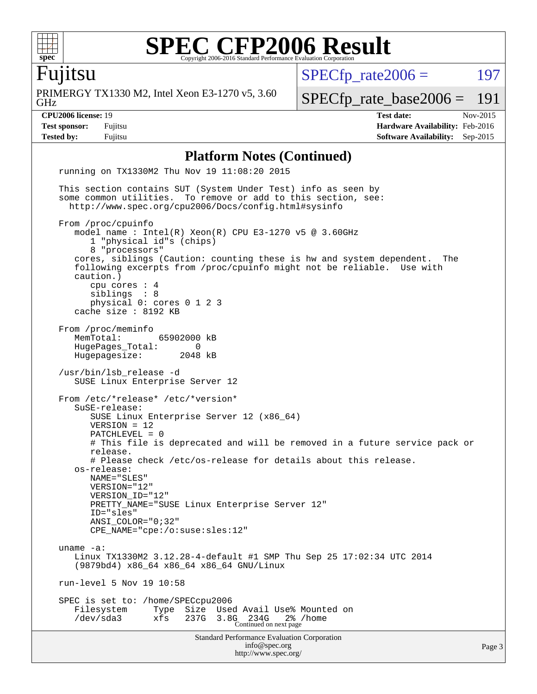

Fujitsu

GHz PRIMERGY TX1330 M2, Intel Xeon E3-1270 v5, 3.60  $SPECTp_rate2006 = 197$ 

[SPECfp\\_rate\\_base2006 =](http://www.spec.org/auto/cpu2006/Docs/result-fields.html#SPECfpratebase2006) 191

**[CPU2006 license:](http://www.spec.org/auto/cpu2006/Docs/result-fields.html#CPU2006license)** 19 **[Test date:](http://www.spec.org/auto/cpu2006/Docs/result-fields.html#Testdate)** Nov-2015 **[Test sponsor:](http://www.spec.org/auto/cpu2006/Docs/result-fields.html#Testsponsor)** Fujitsu **[Hardware Availability:](http://www.spec.org/auto/cpu2006/Docs/result-fields.html#HardwareAvailability)** Feb-2016 **[Tested by:](http://www.spec.org/auto/cpu2006/Docs/result-fields.html#Testedby)** Fujitsu **[Software Availability:](http://www.spec.org/auto/cpu2006/Docs/result-fields.html#SoftwareAvailability)** Sep-2015

#### **[Platform Notes \(Continued\)](http://www.spec.org/auto/cpu2006/Docs/result-fields.html#PlatformNotes)**

Standard Performance Evaluation Corporation [info@spec.org](mailto:info@spec.org) <http://www.spec.org/> Page 3 running on TX1330M2 Thu Nov 19 11:08:20 2015 This section contains SUT (System Under Test) info as seen by some common utilities. To remove or add to this section, see: <http://www.spec.org/cpu2006/Docs/config.html#sysinfo> From /proc/cpuinfo model name : Intel(R) Xeon(R) CPU E3-1270 v5 @ 3.60GHz 1 "physical id"s (chips) 8 "processors" cores, siblings (Caution: counting these is hw and system dependent. The following excerpts from /proc/cpuinfo might not be reliable. Use with caution.) cpu cores : 4 siblings : 8 physical 0: cores 0 1 2 3 cache size : 8192 KB From /proc/meminfo<br>MemTotal: 65902000 kB HugePages\_Total: 0 Hugepagesize: 2048 kB /usr/bin/lsb\_release -d SUSE Linux Enterprise Server 12 From /etc/\*release\* /etc/\*version\* SuSE-release: SUSE Linux Enterprise Server 12 (x86\_64) VERSION = 12 PATCHLEVEL = 0 # This file is deprecated and will be removed in a future service pack or release. # Please check /etc/os-release for details about this release. os-release: NAME="SLES" VERSION="12" VERSION\_ID="12" PRETTY\_NAME="SUSE Linux Enterprise Server 12" ID="sles" ANSI\_COLOR="0;32" CPE\_NAME="cpe:/o:suse:sles:12" uname -a: Linux TX1330M2 3.12.28-4-default #1 SMP Thu Sep 25 17:02:34 UTC 2014 (9879bd4) x86\_64 x86\_64 x86\_64 GNU/Linux run-level 5 Nov 19 10:58 SPEC is set to: /home/SPECcpu2006 Filesystem Type Size Used Avail Use% Mounted on /dev/sda3 xfs 237G 3.8G 234G 2% /home Continued on next page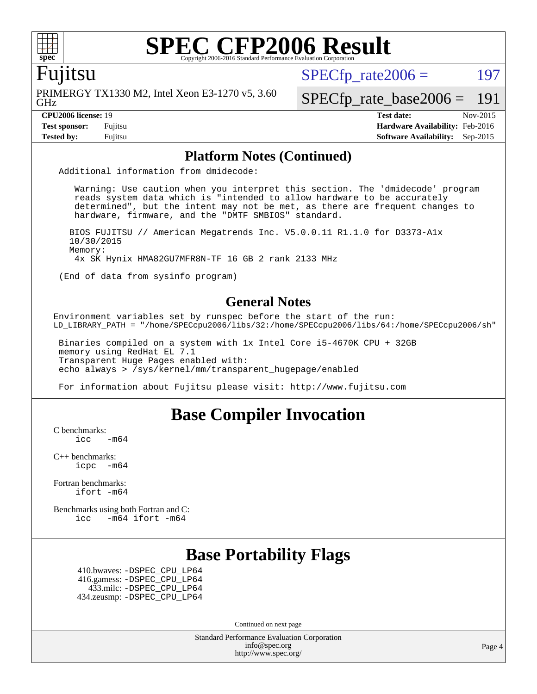

#### Fujitsu

GHz PRIMERGY TX1330 M2, Intel Xeon E3-1270 v5, 3.60  $SPECTp\_rate2006 = 197$ 

[SPECfp\\_rate\\_base2006 =](http://www.spec.org/auto/cpu2006/Docs/result-fields.html#SPECfpratebase2006) 191

**[CPU2006 license:](http://www.spec.org/auto/cpu2006/Docs/result-fields.html#CPU2006license)** 19 **[Test date:](http://www.spec.org/auto/cpu2006/Docs/result-fields.html#Testdate)** Nov-2015 **[Test sponsor:](http://www.spec.org/auto/cpu2006/Docs/result-fields.html#Testsponsor)** Fujitsu **[Hardware Availability:](http://www.spec.org/auto/cpu2006/Docs/result-fields.html#HardwareAvailability)** Feb-2016 **[Tested by:](http://www.spec.org/auto/cpu2006/Docs/result-fields.html#Testedby)** Fujitsu **[Software Availability:](http://www.spec.org/auto/cpu2006/Docs/result-fields.html#SoftwareAvailability)** Sep-2015

#### **[Platform Notes \(Continued\)](http://www.spec.org/auto/cpu2006/Docs/result-fields.html#PlatformNotes)**

Additional information from dmidecode:

 Warning: Use caution when you interpret this section. The 'dmidecode' program reads system data which is "intended to allow hardware to be accurately determined", but the intent may not be met, as there are frequent changes to hardware, firmware, and the "DMTF SMBIOS" standard.

 BIOS FUJITSU // American Megatrends Inc. V5.0.0.11 R1.1.0 for D3373-A1x 10/30/2015 Memory: 4x SK Hynix HMA82GU7MFR8N-TF 16 GB 2 rank 2133 MHz

(End of data from sysinfo program)

#### **[General Notes](http://www.spec.org/auto/cpu2006/Docs/result-fields.html#GeneralNotes)**

Environment variables set by runspec before the start of the run: LD\_LIBRARY\_PATH = "/home/SPECcpu2006/libs/32:/home/SPECcpu2006/libs/64:/home/SPECcpu2006/sh"

 Binaries compiled on a system with 1x Intel Core i5-4670K CPU + 32GB memory using RedHat EL 7.1 Transparent Huge Pages enabled with: echo always > /sys/kernel/mm/transparent\_hugepage/enabled

For information about Fujitsu please visit: <http://www.fujitsu.com>

### **[Base Compiler Invocation](http://www.spec.org/auto/cpu2006/Docs/result-fields.html#BaseCompilerInvocation)**

[C benchmarks](http://www.spec.org/auto/cpu2006/Docs/result-fields.html#Cbenchmarks):

 $\text{icc}$   $-\text{m64}$ 

[C++ benchmarks:](http://www.spec.org/auto/cpu2006/Docs/result-fields.html#CXXbenchmarks) [icpc -m64](http://www.spec.org/cpu2006/results/res2016q1/cpu2006-20160111-38701.flags.html#user_CXXbase_intel_icpc_64bit_bedb90c1146cab66620883ef4f41a67e)

[Fortran benchmarks](http://www.spec.org/auto/cpu2006/Docs/result-fields.html#Fortranbenchmarks): [ifort -m64](http://www.spec.org/cpu2006/results/res2016q1/cpu2006-20160111-38701.flags.html#user_FCbase_intel_ifort_64bit_ee9d0fb25645d0210d97eb0527dcc06e)

[Benchmarks using both Fortran and C](http://www.spec.org/auto/cpu2006/Docs/result-fields.html#BenchmarksusingbothFortranandC): [icc -m64](http://www.spec.org/cpu2006/results/res2016q1/cpu2006-20160111-38701.flags.html#user_CC_FCbase_intel_icc_64bit_0b7121f5ab7cfabee23d88897260401c) [ifort -m64](http://www.spec.org/cpu2006/results/res2016q1/cpu2006-20160111-38701.flags.html#user_CC_FCbase_intel_ifort_64bit_ee9d0fb25645d0210d97eb0527dcc06e)

### **[Base Portability Flags](http://www.spec.org/auto/cpu2006/Docs/result-fields.html#BasePortabilityFlags)**

 410.bwaves: [-DSPEC\\_CPU\\_LP64](http://www.spec.org/cpu2006/results/res2016q1/cpu2006-20160111-38701.flags.html#suite_basePORTABILITY410_bwaves_DSPEC_CPU_LP64) 416.gamess: [-DSPEC\\_CPU\\_LP64](http://www.spec.org/cpu2006/results/res2016q1/cpu2006-20160111-38701.flags.html#suite_basePORTABILITY416_gamess_DSPEC_CPU_LP64) 433.milc: [-DSPEC\\_CPU\\_LP64](http://www.spec.org/cpu2006/results/res2016q1/cpu2006-20160111-38701.flags.html#suite_basePORTABILITY433_milc_DSPEC_CPU_LP64) 434.zeusmp: [-DSPEC\\_CPU\\_LP64](http://www.spec.org/cpu2006/results/res2016q1/cpu2006-20160111-38701.flags.html#suite_basePORTABILITY434_zeusmp_DSPEC_CPU_LP64)

Continued on next page

Standard Performance Evaluation Corporation [info@spec.org](mailto:info@spec.org) <http://www.spec.org/>

Page 4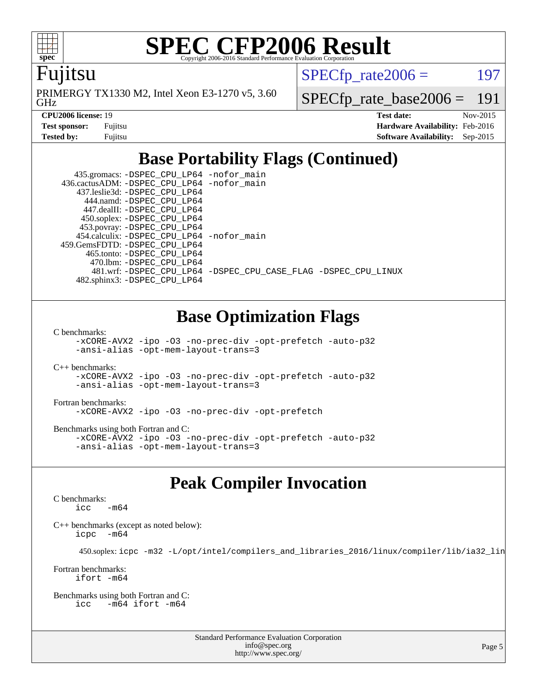

Fujitsu

GHz PRIMERGY TX1330 M2, Intel Xeon E3-1270 v5, 3.60  $SPECTp\_rate2006 = 197$ 

[SPECfp\\_rate\\_base2006 =](http://www.spec.org/auto/cpu2006/Docs/result-fields.html#SPECfpratebase2006) 191

| <b>Test sponsor:</b> | Fujitsu |
|----------------------|---------|
| Tested by:           | Fuiitsu |

**[CPU2006 license:](http://www.spec.org/auto/cpu2006/Docs/result-fields.html#CPU2006license)** 19 **[Test date:](http://www.spec.org/auto/cpu2006/Docs/result-fields.html#Testdate)** Nov-2015 **[Hardware Availability:](http://www.spec.org/auto/cpu2006/Docs/result-fields.html#HardwareAvailability)** Feb-2016 **[Software Availability:](http://www.spec.org/auto/cpu2006/Docs/result-fields.html#SoftwareAvailability)** Sep-2015

## **[Base Portability Flags \(Continued\)](http://www.spec.org/auto/cpu2006/Docs/result-fields.html#BasePortabilityFlags)**

 435.gromacs: [-DSPEC\\_CPU\\_LP64](http://www.spec.org/cpu2006/results/res2016q1/cpu2006-20160111-38701.flags.html#suite_basePORTABILITY435_gromacs_DSPEC_CPU_LP64) [-nofor\\_main](http://www.spec.org/cpu2006/results/res2016q1/cpu2006-20160111-38701.flags.html#user_baseLDPORTABILITY435_gromacs_f-nofor_main) 436.cactusADM: [-DSPEC\\_CPU\\_LP64](http://www.spec.org/cpu2006/results/res2016q1/cpu2006-20160111-38701.flags.html#suite_basePORTABILITY436_cactusADM_DSPEC_CPU_LP64) [-nofor\\_main](http://www.spec.org/cpu2006/results/res2016q1/cpu2006-20160111-38701.flags.html#user_baseLDPORTABILITY436_cactusADM_f-nofor_main) 437.leslie3d: [-DSPEC\\_CPU\\_LP64](http://www.spec.org/cpu2006/results/res2016q1/cpu2006-20160111-38701.flags.html#suite_basePORTABILITY437_leslie3d_DSPEC_CPU_LP64) 444.namd: [-DSPEC\\_CPU\\_LP64](http://www.spec.org/cpu2006/results/res2016q1/cpu2006-20160111-38701.flags.html#suite_basePORTABILITY444_namd_DSPEC_CPU_LP64) 447.dealII: [-DSPEC\\_CPU\\_LP64](http://www.spec.org/cpu2006/results/res2016q1/cpu2006-20160111-38701.flags.html#suite_basePORTABILITY447_dealII_DSPEC_CPU_LP64) 450.soplex: [-DSPEC\\_CPU\\_LP64](http://www.spec.org/cpu2006/results/res2016q1/cpu2006-20160111-38701.flags.html#suite_basePORTABILITY450_soplex_DSPEC_CPU_LP64) 453.povray: [-DSPEC\\_CPU\\_LP64](http://www.spec.org/cpu2006/results/res2016q1/cpu2006-20160111-38701.flags.html#suite_basePORTABILITY453_povray_DSPEC_CPU_LP64) 454.calculix: [-DSPEC\\_CPU\\_LP64](http://www.spec.org/cpu2006/results/res2016q1/cpu2006-20160111-38701.flags.html#suite_basePORTABILITY454_calculix_DSPEC_CPU_LP64) [-nofor\\_main](http://www.spec.org/cpu2006/results/res2016q1/cpu2006-20160111-38701.flags.html#user_baseLDPORTABILITY454_calculix_f-nofor_main) 459.GemsFDTD: [-DSPEC\\_CPU\\_LP64](http://www.spec.org/cpu2006/results/res2016q1/cpu2006-20160111-38701.flags.html#suite_basePORTABILITY459_GemsFDTD_DSPEC_CPU_LP64) 465.tonto: [-DSPEC\\_CPU\\_LP64](http://www.spec.org/cpu2006/results/res2016q1/cpu2006-20160111-38701.flags.html#suite_basePORTABILITY465_tonto_DSPEC_CPU_LP64) 470.lbm: [-DSPEC\\_CPU\\_LP64](http://www.spec.org/cpu2006/results/res2016q1/cpu2006-20160111-38701.flags.html#suite_basePORTABILITY470_lbm_DSPEC_CPU_LP64) 481.wrf: [-DSPEC\\_CPU\\_LP64](http://www.spec.org/cpu2006/results/res2016q1/cpu2006-20160111-38701.flags.html#suite_basePORTABILITY481_wrf_DSPEC_CPU_LP64) [-DSPEC\\_CPU\\_CASE\\_FLAG](http://www.spec.org/cpu2006/results/res2016q1/cpu2006-20160111-38701.flags.html#b481.wrf_baseCPORTABILITY_DSPEC_CPU_CASE_FLAG) [-DSPEC\\_CPU\\_LINUX](http://www.spec.org/cpu2006/results/res2016q1/cpu2006-20160111-38701.flags.html#b481.wrf_baseCPORTABILITY_DSPEC_CPU_LINUX) 482.sphinx3: [-DSPEC\\_CPU\\_LP64](http://www.spec.org/cpu2006/results/res2016q1/cpu2006-20160111-38701.flags.html#suite_basePORTABILITY482_sphinx3_DSPEC_CPU_LP64)

### **[Base Optimization Flags](http://www.spec.org/auto/cpu2006/Docs/result-fields.html#BaseOptimizationFlags)**

[C benchmarks](http://www.spec.org/auto/cpu2006/Docs/result-fields.html#Cbenchmarks):

[-xCORE-AVX2](http://www.spec.org/cpu2006/results/res2016q1/cpu2006-20160111-38701.flags.html#user_CCbase_f-xAVX2_5f5fc0cbe2c9f62c816d3e45806c70d7) [-ipo](http://www.spec.org/cpu2006/results/res2016q1/cpu2006-20160111-38701.flags.html#user_CCbase_f-ipo) [-O3](http://www.spec.org/cpu2006/results/res2016q1/cpu2006-20160111-38701.flags.html#user_CCbase_f-O3) [-no-prec-div](http://www.spec.org/cpu2006/results/res2016q1/cpu2006-20160111-38701.flags.html#user_CCbase_f-no-prec-div) [-opt-prefetch](http://www.spec.org/cpu2006/results/res2016q1/cpu2006-20160111-38701.flags.html#user_CCbase_f-opt-prefetch) [-auto-p32](http://www.spec.org/cpu2006/results/res2016q1/cpu2006-20160111-38701.flags.html#user_CCbase_f-auto-p32) [-ansi-alias](http://www.spec.org/cpu2006/results/res2016q1/cpu2006-20160111-38701.flags.html#user_CCbase_f-ansi-alias) [-opt-mem-layout-trans=3](http://www.spec.org/cpu2006/results/res2016q1/cpu2006-20160111-38701.flags.html#user_CCbase_f-opt-mem-layout-trans_a7b82ad4bd7abf52556d4961a2ae94d5)

[C++ benchmarks:](http://www.spec.org/auto/cpu2006/Docs/result-fields.html#CXXbenchmarks) [-xCORE-AVX2](http://www.spec.org/cpu2006/results/res2016q1/cpu2006-20160111-38701.flags.html#user_CXXbase_f-xAVX2_5f5fc0cbe2c9f62c816d3e45806c70d7) [-ipo](http://www.spec.org/cpu2006/results/res2016q1/cpu2006-20160111-38701.flags.html#user_CXXbase_f-ipo) [-O3](http://www.spec.org/cpu2006/results/res2016q1/cpu2006-20160111-38701.flags.html#user_CXXbase_f-O3) [-no-prec-div](http://www.spec.org/cpu2006/results/res2016q1/cpu2006-20160111-38701.flags.html#user_CXXbase_f-no-prec-div) [-opt-prefetch](http://www.spec.org/cpu2006/results/res2016q1/cpu2006-20160111-38701.flags.html#user_CXXbase_f-opt-prefetch) [-auto-p32](http://www.spec.org/cpu2006/results/res2016q1/cpu2006-20160111-38701.flags.html#user_CXXbase_f-auto-p32) [-ansi-alias](http://www.spec.org/cpu2006/results/res2016q1/cpu2006-20160111-38701.flags.html#user_CXXbase_f-ansi-alias) [-opt-mem-layout-trans=3](http://www.spec.org/cpu2006/results/res2016q1/cpu2006-20160111-38701.flags.html#user_CXXbase_f-opt-mem-layout-trans_a7b82ad4bd7abf52556d4961a2ae94d5)

[Fortran benchmarks](http://www.spec.org/auto/cpu2006/Docs/result-fields.html#Fortranbenchmarks): [-xCORE-AVX2](http://www.spec.org/cpu2006/results/res2016q1/cpu2006-20160111-38701.flags.html#user_FCbase_f-xAVX2_5f5fc0cbe2c9f62c816d3e45806c70d7) [-ipo](http://www.spec.org/cpu2006/results/res2016q1/cpu2006-20160111-38701.flags.html#user_FCbase_f-ipo) [-O3](http://www.spec.org/cpu2006/results/res2016q1/cpu2006-20160111-38701.flags.html#user_FCbase_f-O3) [-no-prec-div](http://www.spec.org/cpu2006/results/res2016q1/cpu2006-20160111-38701.flags.html#user_FCbase_f-no-prec-div) [-opt-prefetch](http://www.spec.org/cpu2006/results/res2016q1/cpu2006-20160111-38701.flags.html#user_FCbase_f-opt-prefetch)

[Benchmarks using both Fortran and C](http://www.spec.org/auto/cpu2006/Docs/result-fields.html#BenchmarksusingbothFortranandC): [-xCORE-AVX2](http://www.spec.org/cpu2006/results/res2016q1/cpu2006-20160111-38701.flags.html#user_CC_FCbase_f-xAVX2_5f5fc0cbe2c9f62c816d3e45806c70d7) [-ipo](http://www.spec.org/cpu2006/results/res2016q1/cpu2006-20160111-38701.flags.html#user_CC_FCbase_f-ipo) [-O3](http://www.spec.org/cpu2006/results/res2016q1/cpu2006-20160111-38701.flags.html#user_CC_FCbase_f-O3) [-no-prec-div](http://www.spec.org/cpu2006/results/res2016q1/cpu2006-20160111-38701.flags.html#user_CC_FCbase_f-no-prec-div) [-opt-prefetch](http://www.spec.org/cpu2006/results/res2016q1/cpu2006-20160111-38701.flags.html#user_CC_FCbase_f-opt-prefetch) [-auto-p32](http://www.spec.org/cpu2006/results/res2016q1/cpu2006-20160111-38701.flags.html#user_CC_FCbase_f-auto-p32) [-ansi-alias](http://www.spec.org/cpu2006/results/res2016q1/cpu2006-20160111-38701.flags.html#user_CC_FCbase_f-ansi-alias) [-opt-mem-layout-trans=3](http://www.spec.org/cpu2006/results/res2016q1/cpu2006-20160111-38701.flags.html#user_CC_FCbase_f-opt-mem-layout-trans_a7b82ad4bd7abf52556d4961a2ae94d5)

### **[Peak Compiler Invocation](http://www.spec.org/auto/cpu2006/Docs/result-fields.html#PeakCompilerInvocation)**

[C benchmarks](http://www.spec.org/auto/cpu2006/Docs/result-fields.html#Cbenchmarks):  $\text{icc}$   $-\text{m64}$ 

[C++ benchmarks \(except as noted below\):](http://www.spec.org/auto/cpu2006/Docs/result-fields.html#CXXbenchmarksexceptasnotedbelow) [icpc -m64](http://www.spec.org/cpu2006/results/res2016q1/cpu2006-20160111-38701.flags.html#user_CXXpeak_intel_icpc_64bit_bedb90c1146cab66620883ef4f41a67e)

450.soplex: [icpc -m32 -L/opt/intel/compilers\\_and\\_libraries\\_2016/linux/compiler/lib/ia32\\_lin](http://www.spec.org/cpu2006/results/res2016q1/cpu2006-20160111-38701.flags.html#user_peakCXXLD450_soplex_intel_icpc_b4f50a394bdb4597aa5879c16bc3f5c5)

[Fortran benchmarks](http://www.spec.org/auto/cpu2006/Docs/result-fields.html#Fortranbenchmarks): [ifort -m64](http://www.spec.org/cpu2006/results/res2016q1/cpu2006-20160111-38701.flags.html#user_FCpeak_intel_ifort_64bit_ee9d0fb25645d0210d97eb0527dcc06e)

[Benchmarks using both Fortran and C](http://www.spec.org/auto/cpu2006/Docs/result-fields.html#BenchmarksusingbothFortranandC): [icc -m64](http://www.spec.org/cpu2006/results/res2016q1/cpu2006-20160111-38701.flags.html#user_CC_FCpeak_intel_icc_64bit_0b7121f5ab7cfabee23d88897260401c) [ifort -m64](http://www.spec.org/cpu2006/results/res2016q1/cpu2006-20160111-38701.flags.html#user_CC_FCpeak_intel_ifort_64bit_ee9d0fb25645d0210d97eb0527dcc06e)

> Standard Performance Evaluation Corporation [info@spec.org](mailto:info@spec.org) <http://www.spec.org/>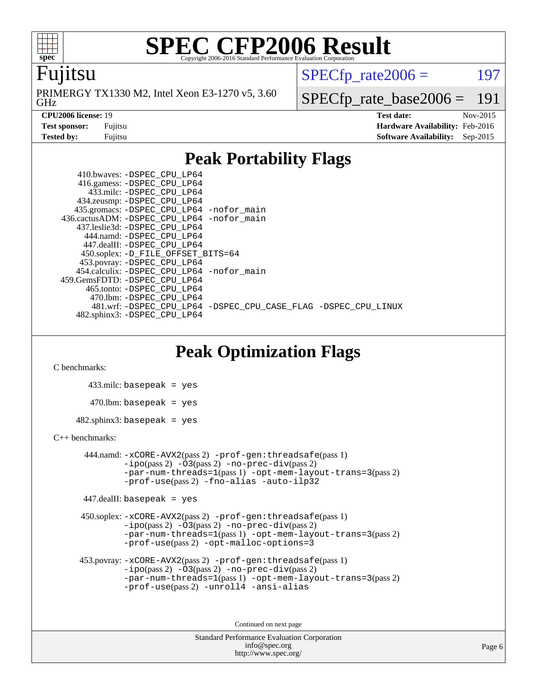

#### Fujitsu

GHz PRIMERGY TX1330 M2, Intel Xeon E3-1270 v5, 3.60  $SPECTp\_rate2006 = 197$ 

[SPECfp\\_rate\\_base2006 =](http://www.spec.org/auto/cpu2006/Docs/result-fields.html#SPECfpratebase2006) 191

**[CPU2006 license:](http://www.spec.org/auto/cpu2006/Docs/result-fields.html#CPU2006license)** 19 **[Test date:](http://www.spec.org/auto/cpu2006/Docs/result-fields.html#Testdate)** Nov-2015 **[Test sponsor:](http://www.spec.org/auto/cpu2006/Docs/result-fields.html#Testsponsor)** Fujitsu **[Hardware Availability:](http://www.spec.org/auto/cpu2006/Docs/result-fields.html#HardwareAvailability)** Feb-2016 **[Tested by:](http://www.spec.org/auto/cpu2006/Docs/result-fields.html#Testedby)** Fujitsu **[Software Availability:](http://www.spec.org/auto/cpu2006/Docs/result-fields.html#SoftwareAvailability)** Sep-2015

### **[Peak Portability Flags](http://www.spec.org/auto/cpu2006/Docs/result-fields.html#PeakPortabilityFlags)**

 410.bwaves: [-DSPEC\\_CPU\\_LP64](http://www.spec.org/cpu2006/results/res2016q1/cpu2006-20160111-38701.flags.html#suite_peakPORTABILITY410_bwaves_DSPEC_CPU_LP64) 416.gamess: [-DSPEC\\_CPU\\_LP64](http://www.spec.org/cpu2006/results/res2016q1/cpu2006-20160111-38701.flags.html#suite_peakPORTABILITY416_gamess_DSPEC_CPU_LP64) 433.milc: [-DSPEC\\_CPU\\_LP64](http://www.spec.org/cpu2006/results/res2016q1/cpu2006-20160111-38701.flags.html#suite_peakPORTABILITY433_milc_DSPEC_CPU_LP64) 434.zeusmp: [-DSPEC\\_CPU\\_LP64](http://www.spec.org/cpu2006/results/res2016q1/cpu2006-20160111-38701.flags.html#suite_peakPORTABILITY434_zeusmp_DSPEC_CPU_LP64) 435.gromacs: [-DSPEC\\_CPU\\_LP64](http://www.spec.org/cpu2006/results/res2016q1/cpu2006-20160111-38701.flags.html#suite_peakPORTABILITY435_gromacs_DSPEC_CPU_LP64) [-nofor\\_main](http://www.spec.org/cpu2006/results/res2016q1/cpu2006-20160111-38701.flags.html#user_peakLDPORTABILITY435_gromacs_f-nofor_main) 436.cactusADM: [-DSPEC\\_CPU\\_LP64](http://www.spec.org/cpu2006/results/res2016q1/cpu2006-20160111-38701.flags.html#suite_peakPORTABILITY436_cactusADM_DSPEC_CPU_LP64) [-nofor\\_main](http://www.spec.org/cpu2006/results/res2016q1/cpu2006-20160111-38701.flags.html#user_peakLDPORTABILITY436_cactusADM_f-nofor_main) 437.leslie3d: [-DSPEC\\_CPU\\_LP64](http://www.spec.org/cpu2006/results/res2016q1/cpu2006-20160111-38701.flags.html#suite_peakPORTABILITY437_leslie3d_DSPEC_CPU_LP64) 444.namd: [-DSPEC\\_CPU\\_LP64](http://www.spec.org/cpu2006/results/res2016q1/cpu2006-20160111-38701.flags.html#suite_peakPORTABILITY444_namd_DSPEC_CPU_LP64) 447.dealII: [-DSPEC\\_CPU\\_LP64](http://www.spec.org/cpu2006/results/res2016q1/cpu2006-20160111-38701.flags.html#suite_peakPORTABILITY447_dealII_DSPEC_CPU_LP64) 450.soplex: [-D\\_FILE\\_OFFSET\\_BITS=64](http://www.spec.org/cpu2006/results/res2016q1/cpu2006-20160111-38701.flags.html#user_peakPORTABILITY450_soplex_file_offset_bits_64_438cf9856305ebd76870a2c6dc2689ab) 453.povray: [-DSPEC\\_CPU\\_LP64](http://www.spec.org/cpu2006/results/res2016q1/cpu2006-20160111-38701.flags.html#suite_peakPORTABILITY453_povray_DSPEC_CPU_LP64) 454.calculix: [-DSPEC\\_CPU\\_LP64](http://www.spec.org/cpu2006/results/res2016q1/cpu2006-20160111-38701.flags.html#suite_peakPORTABILITY454_calculix_DSPEC_CPU_LP64) [-nofor\\_main](http://www.spec.org/cpu2006/results/res2016q1/cpu2006-20160111-38701.flags.html#user_peakLDPORTABILITY454_calculix_f-nofor_main) 459.GemsFDTD: [-DSPEC\\_CPU\\_LP64](http://www.spec.org/cpu2006/results/res2016q1/cpu2006-20160111-38701.flags.html#suite_peakPORTABILITY459_GemsFDTD_DSPEC_CPU_LP64) 465.tonto: [-DSPEC\\_CPU\\_LP64](http://www.spec.org/cpu2006/results/res2016q1/cpu2006-20160111-38701.flags.html#suite_peakPORTABILITY465_tonto_DSPEC_CPU_LP64) 470.lbm: [-DSPEC\\_CPU\\_LP64](http://www.spec.org/cpu2006/results/res2016q1/cpu2006-20160111-38701.flags.html#suite_peakPORTABILITY470_lbm_DSPEC_CPU_LP64) 481.wrf: [-DSPEC\\_CPU\\_LP64](http://www.spec.org/cpu2006/results/res2016q1/cpu2006-20160111-38701.flags.html#suite_peakPORTABILITY481_wrf_DSPEC_CPU_LP64) [-DSPEC\\_CPU\\_CASE\\_FLAG](http://www.spec.org/cpu2006/results/res2016q1/cpu2006-20160111-38701.flags.html#b481.wrf_peakCPORTABILITY_DSPEC_CPU_CASE_FLAG) [-DSPEC\\_CPU\\_LINUX](http://www.spec.org/cpu2006/results/res2016q1/cpu2006-20160111-38701.flags.html#b481.wrf_peakCPORTABILITY_DSPEC_CPU_LINUX) 482.sphinx3: [-DSPEC\\_CPU\\_LP64](http://www.spec.org/cpu2006/results/res2016q1/cpu2006-20160111-38701.flags.html#suite_peakPORTABILITY482_sphinx3_DSPEC_CPU_LP64)

### **[Peak Optimization Flags](http://www.spec.org/auto/cpu2006/Docs/result-fields.html#PeakOptimizationFlags)**

[C benchmarks](http://www.spec.org/auto/cpu2006/Docs/result-fields.html#Cbenchmarks):

 433.milc: basepeak = yes  $470.1$ bm: basepeak = yes  $482$ .sphinx3: basepeak = yes

#### [C++ benchmarks:](http://www.spec.org/auto/cpu2006/Docs/result-fields.html#CXXbenchmarks)

 444.namd: [-xCORE-AVX2](http://www.spec.org/cpu2006/results/res2016q1/cpu2006-20160111-38701.flags.html#user_peakPASS2_CXXFLAGSPASS2_LDFLAGS444_namd_f-xAVX2_5f5fc0cbe2c9f62c816d3e45806c70d7)(pass 2) [-prof-gen:threadsafe](http://www.spec.org/cpu2006/results/res2016q1/cpu2006-20160111-38701.flags.html#user_peakPASS1_CXXFLAGSPASS1_LDFLAGS444_namd_prof_gen_21a26eb79f378b550acd7bec9fe4467a)(pass 1)  $-i\text{po}(pass 2) -03(pass 2) -no-prec-div(pass 2)$  $-i\text{po}(pass 2) -03(pass 2) -no-prec-div(pass 2)$  $-i\text{po}(pass 2) -03(pass 2) -no-prec-div(pass 2)$ [-par-num-threads=1](http://www.spec.org/cpu2006/results/res2016q1/cpu2006-20160111-38701.flags.html#user_peakPASS1_CXXFLAGSPASS1_LDFLAGS444_namd_par_num_threads_786a6ff141b4e9e90432e998842df6c2)(pass 1) [-opt-mem-layout-trans=3](http://www.spec.org/cpu2006/results/res2016q1/cpu2006-20160111-38701.flags.html#user_peakPASS2_CXXFLAGS444_namd_f-opt-mem-layout-trans_a7b82ad4bd7abf52556d4961a2ae94d5)(pass 2) [-prof-use](http://www.spec.org/cpu2006/results/res2016q1/cpu2006-20160111-38701.flags.html#user_peakPASS2_CXXFLAGSPASS2_LDFLAGS444_namd_prof_use_bccf7792157ff70d64e32fe3e1250b55)(pass 2) [-fno-alias](http://www.spec.org/cpu2006/results/res2016q1/cpu2006-20160111-38701.flags.html#user_peakCXXOPTIMIZE444_namd_f-no-alias_694e77f6c5a51e658e82ccff53a9e63a) [-auto-ilp32](http://www.spec.org/cpu2006/results/res2016q1/cpu2006-20160111-38701.flags.html#user_peakCXXOPTIMIZE444_namd_f-auto-ilp32)

447.dealII: basepeak = yes

 450.soplex: [-xCORE-AVX2](http://www.spec.org/cpu2006/results/res2016q1/cpu2006-20160111-38701.flags.html#user_peakPASS2_CXXFLAGSPASS2_LDFLAGS450_soplex_f-xAVX2_5f5fc0cbe2c9f62c816d3e45806c70d7)(pass 2) [-prof-gen:threadsafe](http://www.spec.org/cpu2006/results/res2016q1/cpu2006-20160111-38701.flags.html#user_peakPASS1_CXXFLAGSPASS1_LDFLAGS450_soplex_prof_gen_21a26eb79f378b550acd7bec9fe4467a)(pass 1)  $-i\text{po}(pass 2) -\tilde{O}3(pass 2)$  [-no-prec-div](http://www.spec.org/cpu2006/results/res2016q1/cpu2006-20160111-38701.flags.html#user_peakPASS2_CXXFLAGSPASS2_LDFLAGS450_soplex_f-no-prec-div)(pass 2) [-par-num-threads=1](http://www.spec.org/cpu2006/results/res2016q1/cpu2006-20160111-38701.flags.html#user_peakPASS1_CXXFLAGSPASS1_LDFLAGS450_soplex_par_num_threads_786a6ff141b4e9e90432e998842df6c2)(pass 1) [-opt-mem-layout-trans=3](http://www.spec.org/cpu2006/results/res2016q1/cpu2006-20160111-38701.flags.html#user_peakPASS2_CXXFLAGS450_soplex_f-opt-mem-layout-trans_a7b82ad4bd7abf52556d4961a2ae94d5)(pass 2) [-prof-use](http://www.spec.org/cpu2006/results/res2016q1/cpu2006-20160111-38701.flags.html#user_peakPASS2_CXXFLAGSPASS2_LDFLAGS450_soplex_prof_use_bccf7792157ff70d64e32fe3e1250b55)(pass 2) [-opt-malloc-options=3](http://www.spec.org/cpu2006/results/res2016q1/cpu2006-20160111-38701.flags.html#user_peakOPTIMIZE450_soplex_f-opt-malloc-options_13ab9b803cf986b4ee62f0a5998c2238)

```
 453.povray: -xCORE-AVX2(pass 2) -prof-gen:threadsafe(pass 1)
-i\text{po}(pass 2) -03(pass 2)-no-prec-div(pass 2)
-par-num-threads=1(pass 1) -opt-mem-layout-trans=3(pass 2)
-prof-use(pass 2) -unroll4 -ansi-alias
```
Continued on next page

```
Standard Performance Evaluation Corporation
    info@spec.org
 http://www.spec.org/
```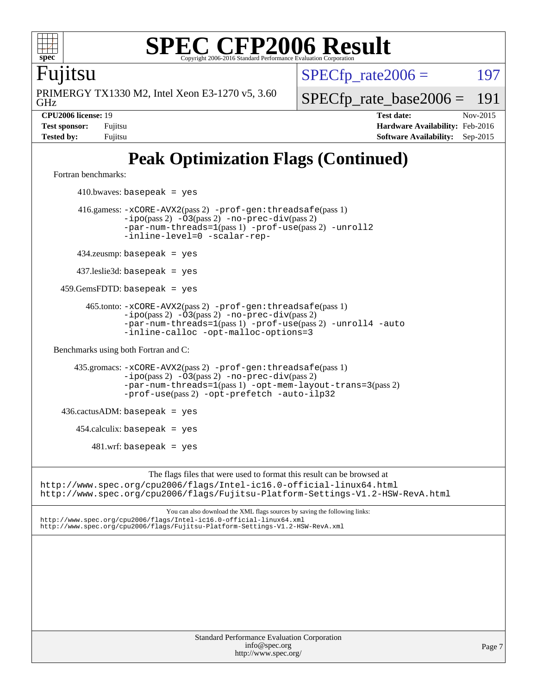

Fujitsu

GHz PRIMERGY TX1330 M2, Intel Xeon E3-1270 v5, 3.60  $SPECTp\_rate2006 = 197$ 

[SPECfp\\_rate\\_base2006 =](http://www.spec.org/auto/cpu2006/Docs/result-fields.html#SPECfpratebase2006) 191

**[CPU2006 license:](http://www.spec.org/auto/cpu2006/Docs/result-fields.html#CPU2006license)** 19 **[Test date:](http://www.spec.org/auto/cpu2006/Docs/result-fields.html#Testdate)** Nov-2015 **[Test sponsor:](http://www.spec.org/auto/cpu2006/Docs/result-fields.html#Testsponsor)** Fujitsu **[Hardware Availability:](http://www.spec.org/auto/cpu2006/Docs/result-fields.html#HardwareAvailability)** Feb-2016 **[Tested by:](http://www.spec.org/auto/cpu2006/Docs/result-fields.html#Testedby)** Fujitsu **[Software Availability:](http://www.spec.org/auto/cpu2006/Docs/result-fields.html#SoftwareAvailability)** Sep-2015

# **[Peak Optimization Flags \(Continued\)](http://www.spec.org/auto/cpu2006/Docs/result-fields.html#PeakOptimizationFlags)**

[Fortran benchmarks](http://www.spec.org/auto/cpu2006/Docs/result-fields.html#Fortranbenchmarks):

 $410.bwaves: basepeak = yes$  416.gamess: [-xCORE-AVX2](http://www.spec.org/cpu2006/results/res2016q1/cpu2006-20160111-38701.flags.html#user_peakPASS2_FFLAGSPASS2_LDFLAGS416_gamess_f-xAVX2_5f5fc0cbe2c9f62c816d3e45806c70d7)(pass 2) [-prof-gen:threadsafe](http://www.spec.org/cpu2006/results/res2016q1/cpu2006-20160111-38701.flags.html#user_peakPASS1_FFLAGSPASS1_LDFLAGS416_gamess_prof_gen_21a26eb79f378b550acd7bec9fe4467a)(pass 1)  $-i\text{po}(pass 2) -03(pass 2) -no-prec-div(pass 2)$  $-i\text{po}(pass 2) -03(pass 2) -no-prec-div(pass 2)$  $-i\text{po}(pass 2) -03(pass 2) -no-prec-div(pass 2)$ [-par-num-threads=1](http://www.spec.org/cpu2006/results/res2016q1/cpu2006-20160111-38701.flags.html#user_peakPASS1_FFLAGSPASS1_LDFLAGS416_gamess_par_num_threads_786a6ff141b4e9e90432e998842df6c2)(pass 1) [-prof-use](http://www.spec.org/cpu2006/results/res2016q1/cpu2006-20160111-38701.flags.html#user_peakPASS2_FFLAGSPASS2_LDFLAGS416_gamess_prof_use_bccf7792157ff70d64e32fe3e1250b55)(pass 2) [-unroll2](http://www.spec.org/cpu2006/results/res2016q1/cpu2006-20160111-38701.flags.html#user_peakOPTIMIZE416_gamess_f-unroll_784dae83bebfb236979b41d2422d7ec2) [-inline-level=0](http://www.spec.org/cpu2006/results/res2016q1/cpu2006-20160111-38701.flags.html#user_peakOPTIMIZE416_gamess_f-inline-level_318d07a09274ad25e8d15dbfaa68ba50) [-scalar-rep-](http://www.spec.org/cpu2006/results/res2016q1/cpu2006-20160111-38701.flags.html#user_peakOPTIMIZE416_gamess_f-disablescalarrep_abbcad04450fb118e4809c81d83c8a1d) 434.zeusmp: basepeak = yes 437.leslie3d: basepeak = yes 459.GemsFDTD: basepeak = yes 465.tonto: [-xCORE-AVX2](http://www.spec.org/cpu2006/results/res2016q1/cpu2006-20160111-38701.flags.html#user_peakPASS2_FFLAGSPASS2_LDFLAGS465_tonto_f-xAVX2_5f5fc0cbe2c9f62c816d3e45806c70d7)(pass 2) [-prof-gen:threadsafe](http://www.spec.org/cpu2006/results/res2016q1/cpu2006-20160111-38701.flags.html#user_peakPASS1_FFLAGSPASS1_LDFLAGS465_tonto_prof_gen_21a26eb79f378b550acd7bec9fe4467a)(pass 1)  $-ipo(pass 2)$  $-ipo(pass 2)$   $-03(pass 2)$   $-no-prec-div(pass 2)$  $-no-prec-div(pass 2)$ [-par-num-threads=1](http://www.spec.org/cpu2006/results/res2016q1/cpu2006-20160111-38701.flags.html#user_peakPASS1_FFLAGSPASS1_LDFLAGS465_tonto_par_num_threads_786a6ff141b4e9e90432e998842df6c2)(pass 1) [-prof-use](http://www.spec.org/cpu2006/results/res2016q1/cpu2006-20160111-38701.flags.html#user_peakPASS2_FFLAGSPASS2_LDFLAGS465_tonto_prof_use_bccf7792157ff70d64e32fe3e1250b55)(pass 2) [-unroll4](http://www.spec.org/cpu2006/results/res2016q1/cpu2006-20160111-38701.flags.html#user_peakOPTIMIZE465_tonto_f-unroll_4e5e4ed65b7fd20bdcd365bec371b81f) [-auto](http://www.spec.org/cpu2006/results/res2016q1/cpu2006-20160111-38701.flags.html#user_peakOPTIMIZE465_tonto_f-auto) [-inline-calloc](http://www.spec.org/cpu2006/results/res2016q1/cpu2006-20160111-38701.flags.html#user_peakOPTIMIZE465_tonto_f-inline-calloc) [-opt-malloc-options=3](http://www.spec.org/cpu2006/results/res2016q1/cpu2006-20160111-38701.flags.html#user_peakOPTIMIZE465_tonto_f-opt-malloc-options_13ab9b803cf986b4ee62f0a5998c2238) [Benchmarks using both Fortran and C](http://www.spec.org/auto/cpu2006/Docs/result-fields.html#BenchmarksusingbothFortranandC): 435.gromacs: [-xCORE-AVX2](http://www.spec.org/cpu2006/results/res2016q1/cpu2006-20160111-38701.flags.html#user_peakPASS2_CFLAGSPASS2_FFLAGSPASS2_LDFLAGS435_gromacs_f-xAVX2_5f5fc0cbe2c9f62c816d3e45806c70d7)(pass 2) [-prof-gen:threadsafe](http://www.spec.org/cpu2006/results/res2016q1/cpu2006-20160111-38701.flags.html#user_peakPASS1_CFLAGSPASS1_FFLAGSPASS1_LDFLAGS435_gromacs_prof_gen_21a26eb79f378b550acd7bec9fe4467a)(pass 1) [-ipo](http://www.spec.org/cpu2006/results/res2016q1/cpu2006-20160111-38701.flags.html#user_peakPASS2_CFLAGSPASS2_FFLAGSPASS2_LDFLAGS435_gromacs_f-ipo)(pass 2) [-O3](http://www.spec.org/cpu2006/results/res2016q1/cpu2006-20160111-38701.flags.html#user_peakPASS2_CFLAGSPASS2_FFLAGSPASS2_LDFLAGS435_gromacs_f-O3)(pass 2) [-no-prec-div](http://www.spec.org/cpu2006/results/res2016q1/cpu2006-20160111-38701.flags.html#user_peakPASS2_CFLAGSPASS2_FFLAGSPASS2_LDFLAGS435_gromacs_f-no-prec-div)(pass 2) [-par-num-threads=1](http://www.spec.org/cpu2006/results/res2016q1/cpu2006-20160111-38701.flags.html#user_peakPASS1_CFLAGSPASS1_FFLAGSPASS1_LDFLAGS435_gromacs_par_num_threads_786a6ff141b4e9e90432e998842df6c2)(pass 1) [-opt-mem-layout-trans=3](http://www.spec.org/cpu2006/results/res2016q1/cpu2006-20160111-38701.flags.html#user_peakPASS2_CFLAGS435_gromacs_f-opt-mem-layout-trans_a7b82ad4bd7abf52556d4961a2ae94d5)(pass 2) [-prof-use](http://www.spec.org/cpu2006/results/res2016q1/cpu2006-20160111-38701.flags.html#user_peakPASS2_CFLAGSPASS2_FFLAGSPASS2_LDFLAGS435_gromacs_prof_use_bccf7792157ff70d64e32fe3e1250b55)(pass 2) [-opt-prefetch](http://www.spec.org/cpu2006/results/res2016q1/cpu2006-20160111-38701.flags.html#user_peakOPTIMIZE435_gromacs_f-opt-prefetch) [-auto-ilp32](http://www.spec.org/cpu2006/results/res2016q1/cpu2006-20160111-38701.flags.html#user_peakCOPTIMIZE435_gromacs_f-auto-ilp32)  $436.cactusADM:basepeak = yes$  454.calculix: basepeak = yes  $481.$ wrf: basepeak = yes The flags files that were used to format this result can be browsed at <http://www.spec.org/cpu2006/flags/Intel-ic16.0-official-linux64.html> <http://www.spec.org/cpu2006/flags/Fujitsu-Platform-Settings-V1.2-HSW-RevA.html> You can also download the XML flags sources by saving the following links: <http://www.spec.org/cpu2006/flags/Intel-ic16.0-official-linux64.xml> <http://www.spec.org/cpu2006/flags/Fujitsu-Platform-Settings-V1.2-HSW-RevA.xml>